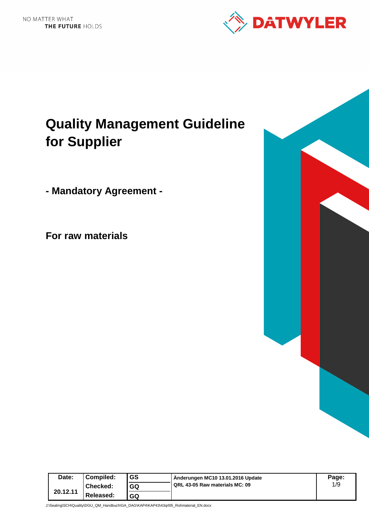

# **Quality Management Guideline for Supplier**

**- Mandatory Agreement -** 

**For raw materials**



J:\Sealing\SCH\Quality\DGU\_QM\_Handbuch\GA\_DAG\KAP4\KAP43\43qrl05\_Rohmaterial\_EN.docx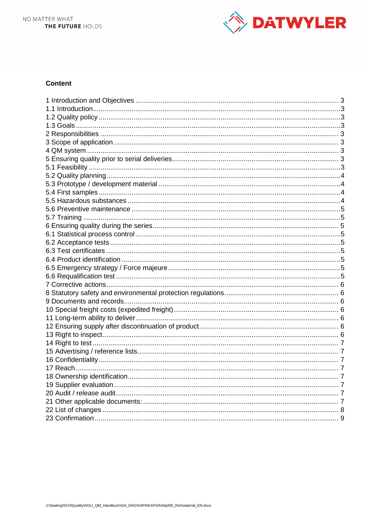

## **Content**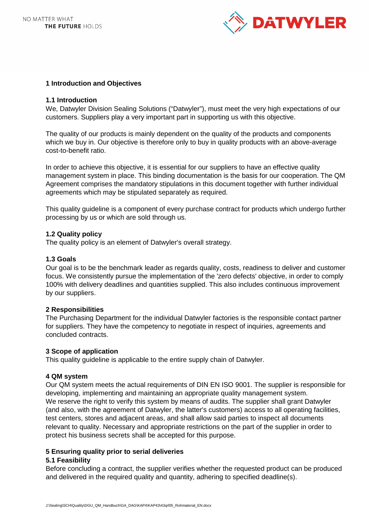

## **1 Introduction and Objectives**

#### **1.1 Introduction**

We, Datwyler Division Sealing Solutions ("Datwyler"), must meet the very high expectations of our customers. Suppliers play a very important part in supporting us with this objective.

The quality of our products is mainly dependent on the quality of the products and components which we buy in. Our objective is therefore only to buy in quality products with an above-average cost-to-benefit ratio.

In order to achieve this objective, it is essential for our suppliers to have an effective quality management system in place. This binding documentation is the basis for our cooperation. The QM Agreement comprises the mandatory stipulations in this document together with further individual agreements which may be stipulated separately as required.

This quality guideline is a component of every purchase contract for products which undergo further processing by us or which are sold through us.

## **1.2 Quality policy**

The quality policy is an element of Datwyler's overall strategy.

## **1.3 Goals**

Our goal is to be the benchmark leader as regards quality, costs, readiness to deliver and customer focus. We consistently pursue the implementation of the 'zero defects' objective, in order to comply 100% with delivery deadlines and quantities supplied. This also includes continuous improvement by our suppliers.

## **2 Responsibilities**

The Purchasing Department for the individual Datwyler factories is the responsible contact partner for suppliers. They have the competency to negotiate in respect of inquiries, agreements and concluded contracts.

#### **3 Scope of application**

This quality guideline is applicable to the entire supply chain of Datwyler.

#### **4 QM system**

Our QM system meets the actual requirements of DIN EN ISO 9001. The supplier is responsible for developing, implementing and maintaining an appropriate quality management system. We reserve the right to verify this system by means of audits. The supplier shall grant Datwyler (and also, with the agreement of Datwyler, the latter's customers) access to all operating facilities, test centers, stores and adjacent areas, and shall allow said parties to inspect all documents relevant to quality. Necessary and appropriate restrictions on the part of the supplier in order to protect his business secrets shall be accepted for this purpose.

## **5 Ensuring quality prior to serial deliveries**

#### **5.1 Feasibility**

Before concluding a contract, the supplier verifies whether the requested product can be produced and delivered in the required quality and quantity, adhering to specified deadline(s).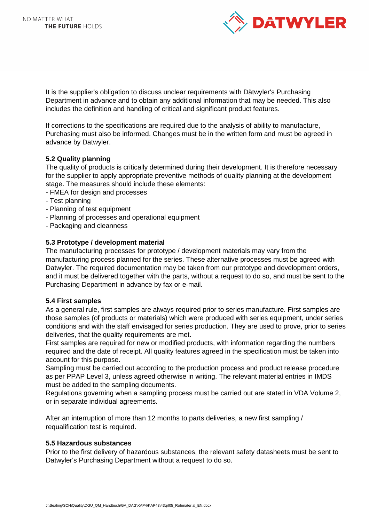

It is the supplier's obligation to discuss unclear requirements with Dätwyler's Purchasing Department in advance and to obtain any additional information that may be needed. This also includes the definition and handling of critical and significant product features.

If corrections to the specifications are required due to the analysis of ability to manufacture, Purchasing must also be informed. Changes must be in the written form and must be agreed in advance by Datwyler.

## **5.2 Quality planning**

The quality of products is critically determined during their development. It is therefore necessary for the supplier to apply appropriate preventive methods of quality planning at the development stage. The measures should include these elements:

- FMEA for design and processes
- Test planning
- Planning of test equipment
- Planning of processes and operational equipment
- Packaging and cleanness

## **5.3 Prototype / development material**

The manufacturing processes for prototype / development materials may vary from the manufacturing process planned for the series. These alternative processes must be agreed with Datwyler. The required documentation may be taken from our prototype and development orders, and it must be delivered together with the parts, without a request to do so, and must be sent to the Purchasing Department in advance by fax or e-mail.

#### **5.4 First samples**

As a general rule, first samples are always required prior to series manufacture. First samples are those samples (of products or materials) which were produced with series equipment, under series conditions and with the staff envisaged for series production. They are used to prove, prior to series deliveries, that the quality requirements are met.

First samples are required for new or modified products, with information regarding the numbers required and the date of receipt. All quality features agreed in the specification must be taken into account for this purpose.

Sampling must be carried out according to the production process and product release procedure as per PPAP Level 3, unless agreed otherwise in writing. The relevant material entries in IMDS must be added to the sampling documents.

Regulations governing when a sampling process must be carried out are stated in VDA Volume 2, or in separate individual agreements.

After an interruption of more than 12 months to parts deliveries, a new first sampling / requalification test is required.

#### **5.5 Hazardous substances**

Prior to the first delivery of hazardous substances, the relevant safety datasheets must be sent to Datwyler's Purchasing Department without a request to do so.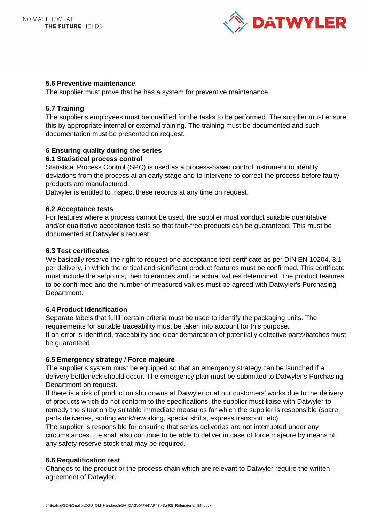

## **5.6 Preventive maintenance**

The supplier must prove that he has a system for preventive maintenance.

## **5.7 Training**

The supplier's employees must be qualified for the tasks to be performed. The supplier must ensure this by appropriate internal or external training. The training must be documented and such documentation must be presented on request.

## **6 Ensuring quality during the series**

## **6.1 Statistical process control**

Statistical Process Control (SPC) is used as a process-based control instrument to identify deviations from the process at an early stage and to intervene to correct the process before faulty products are manufactured.

Datwyler is entitled to inspect these records at any time on request.

## **6.2 Acceptance tests**

For features where a process cannot be used, the supplier must conduct suitable quantitative and/or qualitative acceptance tests so that fault-free products can be guaranteed. This must be documented at Datwyler's request.

## **6.3 Test certificates**

We basically reserve the right to request one acceptance test certificate as per DIN EN 10204, 3.1 per delivery, in which the critical and significant product features must be confirmed. This certificate must include the setpoints, their tolerances and the actual values determined. The product features to be confirmed and the number of measured values must be agreed with Datwyler's Purchasing Department.

## **6.4 Product identification**

Separate labels that fulfill certain criteria must be used to identify the packaging units. The requirements for suitable traceability must be taken into account for this purpose. If an error is identified, traceability and clear demarcation of potentially defective parts/batches must be guaranteed.

#### **6.5 Emergency strategy / Force majeure**

The supplier's system must be equipped so that an emergency strategy can be launched if a delivery bottleneck should occur. The emergency plan must be submitted to Datwyler's Purchasing Department on request.

If there is a risk of production shutdowns at Datwyler or at our customers' works due to the delivery of products which do not conform to the specifications, the supplier must liaise with Datwyler to remedy the situation by suitable immediate measures for which the supplier is responsible (spare parts deliveries, sorting work/reworking, special shifts, express transport, etc).

The supplier is responsible for ensuring that series deliveries are not interrupted under any circumstances. He shall also continue to be able to deliver in case of force majeure by means of any safety reserve stock that may be required.

## **6.6 Requalification test**

Changes to the product or the process chain which are relevant to Datwyler require the written agreement of Datwyler.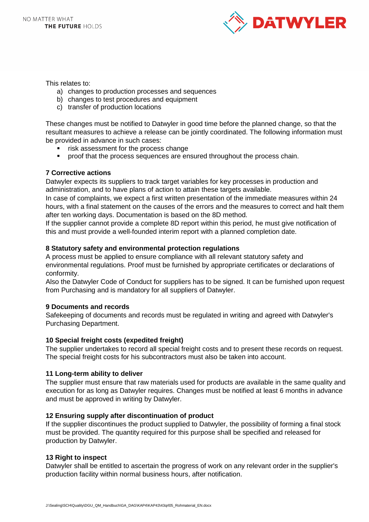

This relates to:

- a) changes to production processes and sequences
- b) changes to test procedures and equipment
- c) transfer of production locations

These changes must be notified to Datwyler in good time before the planned change, so that the resultant measures to achieve a release can be jointly coordinated. The following information must be provided in advance in such cases:

- risk assessment for the process change
- proof that the process sequences are ensured throughout the process chain.

## **7 Corrective actions**

Datwyler expects its suppliers to track target variables for key processes in production and administration, and to have plans of action to attain these targets available.

In case of complaints, we expect a first written presentation of the immediate measures within 24 hours, with a final statement on the causes of the errors and the measures to correct and halt them after ten working days. Documentation is based on the 8D method.

If the supplier cannot provide a complete 8D report within this period, he must give notification of this and must provide a well-founded interim report with a planned completion date.

## **8 Statutory safety and environmental protection regulations**

A process must be applied to ensure compliance with all relevant statutory safety and environmental regulations. Proof must be furnished by appropriate certificates or declarations of conformity.

Also the Datwyler Code of Conduct for suppliers has to be signed. It can be furnished upon request from Purchasing and is mandatory for all suppliers of Datwyler.

#### **9 Documents and records**

Safekeeping of documents and records must be regulated in writing and agreed with Datwyler's Purchasing Department.

#### **10 Special freight costs (expedited freight)**

The supplier undertakes to record all special freight costs and to present these records on request. The special freight costs for his subcontractors must also be taken into account.

#### **11 Long-term ability to deliver**

The supplier must ensure that raw materials used for products are available in the same quality and execution for as long as Datwyler requires. Changes must be notified at least 6 months in advance and must be approved in writing by Datwyler.

#### **12 Ensuring supply after discontinuation of product**

If the supplier discontinues the product supplied to Datwyler, the possibility of forming a final stock must be provided. The quantity required for this purpose shall be specified and released for production by Datwyler.

#### **13 Right to inspect**

Datwyler shall be entitled to ascertain the progress of work on any relevant order in the supplier's production facility within normal business hours, after notification.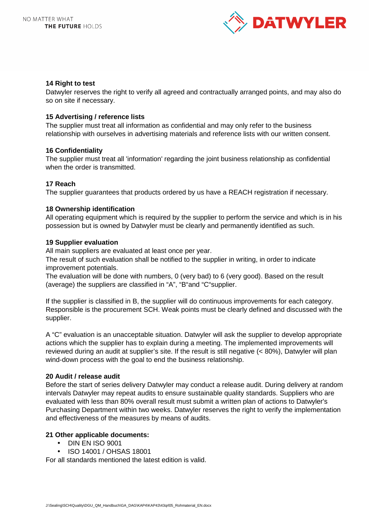

#### **14 Right to test**

Datwyler reserves the right to verify all agreed and contractually arranged points, and may also do so on site if necessary.

## **15 Advertising / reference lists**

The supplier must treat all information as confidential and may only refer to the business relationship with ourselves in advertising materials and reference lists with our written consent.

## **16 Confidentiality**

The supplier must treat all 'information' regarding the joint business relationship as confidential when the order is transmitted.

## **17 Reach**

The supplier guarantees that products ordered by us have a REACH registration if necessary.

## **18 Ownership identification**

All operating equipment which is required by the supplier to perform the service and which is in his possession but is owned by Datwyler must be clearly and permanently identified as such.

## **19 Supplier evaluation**

All main suppliers are evaluated at least once per year.

The result of such evaluation shall be notified to the supplier in writing, in order to indicate improvement potentials.

The evaluation will be done with numbers, 0 (very bad) to 6 (very good). Based on the result (average) the suppliers are classified in "A", "B"and "C"supplier.

If the supplier is classified in B, the supplier will do continuous improvements for each category. Responsible is the procurement SCH. Weak points must be clearly defined and discussed with the supplier.

A "C" evaluation is an unacceptable situation. Datwyler will ask the supplier to develop appropriate actions which the supplier has to explain during a meeting. The implemented improvements will reviewed during an audit at supplier's site. If the result is still negative (< 80%), Datwyler will plan wind-down process with the goal to end the business relationship.

## **20 Audit / release audit**

Before the start of series delivery Datwyler may conduct a release audit. During delivery at random intervals Datwyler may repeat audits to ensure sustainable quality standards. Suppliers who are evaluated with less than 80% overall result must submit a written plan of actions to Datwyler's Purchasing Department within two weeks. Datwyler reserves the right to verify the implementation and effectiveness of the measures by means of audits.

#### **21 Other applicable documents:**

- DIN EN ISO 9001
- ISO 14001 / OHSAS 18001

For all standards mentioned the latest edition is valid.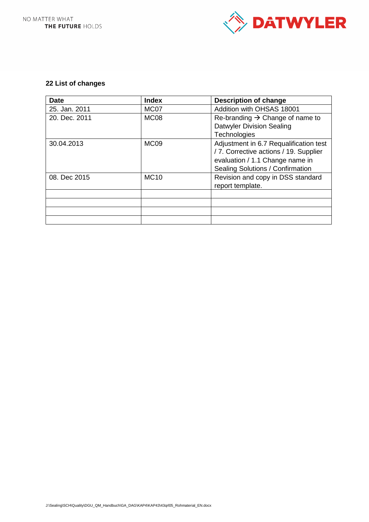

## **22 List of changes**

| <b>Date</b>   | <b>Index</b>     | <b>Description of change</b>                |  |  |
|---------------|------------------|---------------------------------------------|--|--|
| 25. Jan. 2011 | MC07             | Addition with OHSAS 18001                   |  |  |
| 20. Dec. 2011 | MC <sub>08</sub> | Re-branding $\rightarrow$ Change of name to |  |  |
|               |                  | <b>Datwyler Division Sealing</b>            |  |  |
|               |                  | Technologies                                |  |  |
| 30.04.2013    | MC <sub>09</sub> | Adjustment in 6.7 Requalification test      |  |  |
|               |                  | / 7. Corrective actions / 19. Supplier      |  |  |
|               |                  | evaluation / 1.1 Change name in             |  |  |
|               |                  | Sealing Solutions / Confirmation            |  |  |
| 08. Dec 2015  | <b>MC10</b>      | Revision and copy in DSS standard           |  |  |
|               |                  | report template.                            |  |  |
|               |                  |                                             |  |  |
|               |                  |                                             |  |  |
|               |                  |                                             |  |  |
|               |                  |                                             |  |  |